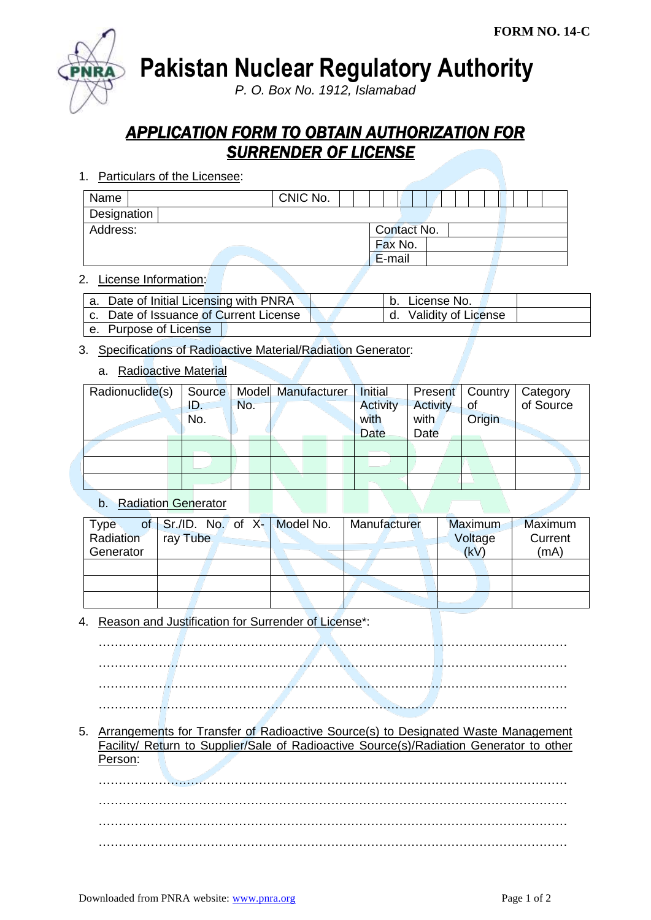

**Pakistan Nuclear Regulatory Authority**

*P. O. Box No. 1912, Islamabad*

## *APPLICATION FORM TO OBTAIN AUTHORIZATION FOR SURRENDER OF LICENSE*

1. Particulars of the Licensee:

| Name        |  |  |  |  | CNIC No. |  |  |             |  |         |  |  |  |  |  |  |  |
|-------------|--|--|--|--|----------|--|--|-------------|--|---------|--|--|--|--|--|--|--|
| Designation |  |  |  |  |          |  |  |             |  |         |  |  |  |  |  |  |  |
| Address:    |  |  |  |  |          |  |  | Contact No. |  |         |  |  |  |  |  |  |  |
|             |  |  |  |  |          |  |  |             |  | Fax No. |  |  |  |  |  |  |  |
|             |  |  |  |  |          |  |  |             |  | E-mail  |  |  |  |  |  |  |  |
|             |  |  |  |  |          |  |  |             |  |         |  |  |  |  |  |  |  |

#### 2. License Information:

| a. Date of Initial Licensing with PNRA |  | License No.            |  |
|----------------------------------------|--|------------------------|--|
| c. Date of Issuance of Current License |  | d. Validity of License |  |
| e. Purpose of License                  |  |                        |  |

# 3. Specifications of Radioactive Material/Radiation Generator:

### a. Radioactive Material

| Radionuclide(s) |     |     | Source   Model Manufacturer | Initial         | Present         | Country | Category<br>of Source |
|-----------------|-----|-----|-----------------------------|-----------------|-----------------|---------|-----------------------|
|                 | ID. | No. |                             | <b>Activity</b> | <b>Activity</b> | of      |                       |
|                 | No. |     |                             | with            | with            | Origin  |                       |
|                 |     |     |                             | <b>Date</b>     | Date            |         |                       |
|                 |     |     |                             |                 |                 |         |                       |
|                 |     |     |                             |                 |                 |         |                       |
|                 |     |     |                             |                 |                 |         |                       |

### b. Radiation Generator

| <b>Type</b> |          |  |  | of $Sr.I.D.$ No. of X- Model No. | Manufacturer | Maximum | Maximum |
|-------------|----------|--|--|----------------------------------|--------------|---------|---------|
| Radiation   | ray Tube |  |  |                                  |              | Current |         |
| Generator   |          |  |  |                                  |              | (kV)    | (mA)    |
|             |          |  |  |                                  |              |         |         |
|             |          |  |  |                                  |              |         |         |
|             |          |  |  |                                  |              |         |         |

4. Reason and Justification for Surrender of License\*:

……………………………………………………………………………………………………… ……………………………………………………………………………………………………… ……………………………………………………………………………………………………… ………………………………………………………………………………………………………

5. Arrangements for Transfer of Radioactive Source(s) to Designated Waste Management Facility/ Return to Supplier/Sale of Radioactive Source(s)/Radiation Generator to other Person:

……………………………………………………………………………………………………… ……………………………………………………………………………………………………… ……………………………………………………………………………………………………… ………………………………………………………………………………………………………